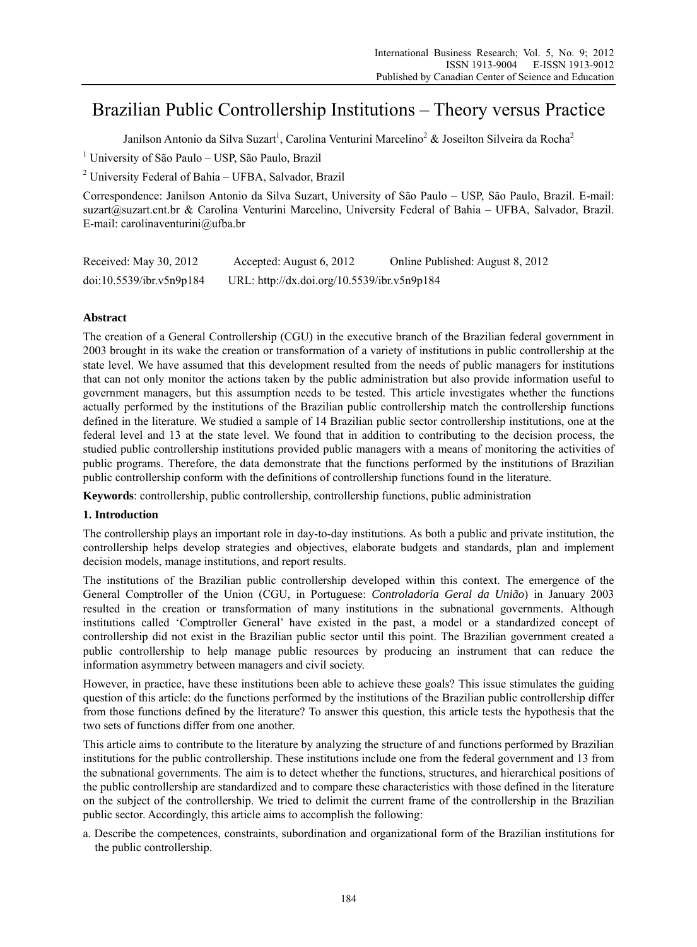# Brazilian Public Controllership Institutions – Theory versus Practice

Janilson Antonio da Silva Suzart<sup>1</sup>, Carolina Venturini Marcelino<sup>2</sup> & Joseilton Silveira da Rocha<sup>2</sup>

<sup>1</sup> University of São Paulo – USP, São Paulo, Brazil

<sup>2</sup> University Federal of Bahia - UFBA, Salvador, Brazil

Correspondence: Janilson Antonio da Silva Suzart, University of São Paulo – USP, São Paulo, Brazil. E-mail: suzart@suzart.cnt.br & Carolina Venturini Marcelino, University Federal of Bahia – UFBA, Salvador, Brazil. E-mail: carolinaventurini@ufba.br

| Received: May 30, 2012   | Accepted: August 6, 2012                    | Online Published: August 8, 2012 |
|--------------------------|---------------------------------------------|----------------------------------|
| doi:10.5539/ibr.v5n9p184 | URL: http://dx.doi.org/10.5539/ibr.v5n9p184 |                                  |

# **Abstract**

The creation of a General Controllership (CGU) in the executive branch of the Brazilian federal government in 2003 brought in its wake the creation or transformation of a variety of institutions in public controllership at the state level. We have assumed that this development resulted from the needs of public managers for institutions that can not only monitor the actions taken by the public administration but also provide information useful to government managers, but this assumption needs to be tested. This article investigates whether the functions actually performed by the institutions of the Brazilian public controllership match the controllership functions defined in the literature. We studied a sample of 14 Brazilian public sector controllership institutions, one at the federal level and 13 at the state level. We found that in addition to contributing to the decision process, the studied public controllership institutions provided public managers with a means of monitoring the activities of public programs. Therefore, the data demonstrate that the functions performed by the institutions of Brazilian public controllership conform with the definitions of controllership functions found in the literature.

**Keywords**: controllership, public controllership, controllership functions, public administration

### **1. Introduction**

The controllership plays an important role in day-to-day institutions. As both a public and private institution, the controllership helps develop strategies and objectives, elaborate budgets and standards, plan and implement decision models, manage institutions, and report results.

The institutions of the Brazilian public controllership developed within this context. The emergence of the General Comptroller of the Union (CGU, in Portuguese: *Controladoria Geral da União*) in January 2003 resulted in the creation or transformation of many institutions in the subnational governments. Although institutions called 'Comptroller General' have existed in the past, a model or a standardized concept of controllership did not exist in the Brazilian public sector until this point. The Brazilian government created a public controllership to help manage public resources by producing an instrument that can reduce the information asymmetry between managers and civil society.

However, in practice, have these institutions been able to achieve these goals? This issue stimulates the guiding question of this article: do the functions performed by the institutions of the Brazilian public controllership differ from those functions defined by the literature? To answer this question, this article tests the hypothesis that the two sets of functions differ from one another.

This article aims to contribute to the literature by analyzing the structure of and functions performed by Brazilian institutions for the public controllership. These institutions include one from the federal government and 13 from the subnational governments. The aim is to detect whether the functions, structures, and hierarchical positions of the public controllership are standardized and to compare these characteristics with those defined in the literature on the subject of the controllership. We tried to delimit the current frame of the controllership in the Brazilian public sector. Accordingly, this article aims to accomplish the following:

a. Describe the competences, constraints, subordination and organizational form of the Brazilian institutions for the public controllership.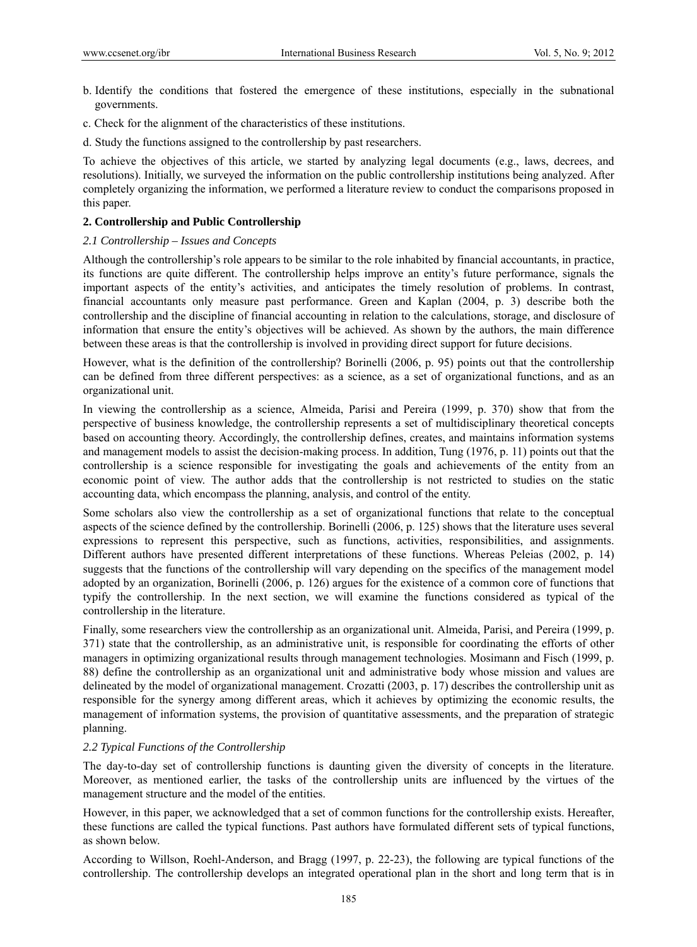- b. Identify the conditions that fostered the emergence of these institutions, especially in the subnational governments.
- c. Check for the alignment of the characteristics of these institutions.
- d. Study the functions assigned to the controllership by past researchers.

To achieve the objectives of this article, we started by analyzing legal documents (e.g., laws, decrees, and resolutions). Initially, we surveyed the information on the public controllership institutions being analyzed. After completely organizing the information, we performed a literature review to conduct the comparisons proposed in this paper.

## **2. Controllership and Public Controllership**

## *2.1 Controllership – Issues and Concepts*

Although the controllership's role appears to be similar to the role inhabited by financial accountants, in practice, its functions are quite different. The controllership helps improve an entity's future performance, signals the important aspects of the entity's activities, and anticipates the timely resolution of problems. In contrast, financial accountants only measure past performance. Green and Kaplan (2004, p. 3) describe both the controllership and the discipline of financial accounting in relation to the calculations, storage, and disclosure of information that ensure the entity's objectives will be achieved. As shown by the authors, the main difference between these areas is that the controllership is involved in providing direct support for future decisions.

However, what is the definition of the controllership? Borinelli (2006, p. 95) points out that the controllership can be defined from three different perspectives: as a science, as a set of organizational functions, and as an organizational unit.

In viewing the controllership as a science, Almeida, Parisi and Pereira (1999, p. 370) show that from the perspective of business knowledge, the controllership represents a set of multidisciplinary theoretical concepts based on accounting theory. Accordingly, the controllership defines, creates, and maintains information systems and management models to assist the decision-making process. In addition, Tung (1976, p. 11) points out that the controllership is a science responsible for investigating the goals and achievements of the entity from an economic point of view. The author adds that the controllership is not restricted to studies on the static accounting data, which encompass the planning, analysis, and control of the entity.

Some scholars also view the controllership as a set of organizational functions that relate to the conceptual aspects of the science defined by the controllership. Borinelli (2006, p. 125) shows that the literature uses several expressions to represent this perspective, such as functions, activities, responsibilities, and assignments. Different authors have presented different interpretations of these functions. Whereas Peleias (2002, p. 14) suggests that the functions of the controllership will vary depending on the specifics of the management model adopted by an organization, Borinelli (2006, p. 126) argues for the existence of a common core of functions that typify the controllership. In the next section, we will examine the functions considered as typical of the controllership in the literature.

Finally, some researchers view the controllership as an organizational unit. Almeida, Parisi, and Pereira (1999, p. 371) state that the controllership, as an administrative unit, is responsible for coordinating the efforts of other managers in optimizing organizational results through management technologies. Mosimann and Fisch (1999, p. 88) define the controllership as an organizational unit and administrative body whose mission and values are delineated by the model of organizational management. Crozatti (2003, p. 17) describes the controllership unit as responsible for the synergy among different areas, which it achieves by optimizing the economic results, the management of information systems, the provision of quantitative assessments, and the preparation of strategic planning.

### *2.2 Typical Functions of the Controllership*

The day-to-day set of controllership functions is daunting given the diversity of concepts in the literature. Moreover, as mentioned earlier, the tasks of the controllership units are influenced by the virtues of the management structure and the model of the entities.

However, in this paper, we acknowledged that a set of common functions for the controllership exists. Hereafter, these functions are called the typical functions. Past authors have formulated different sets of typical functions, as shown below.

According to Willson, Roehl-Anderson, and Bragg (1997, p. 22-23), the following are typical functions of the controllership. The controllership develops an integrated operational plan in the short and long term that is in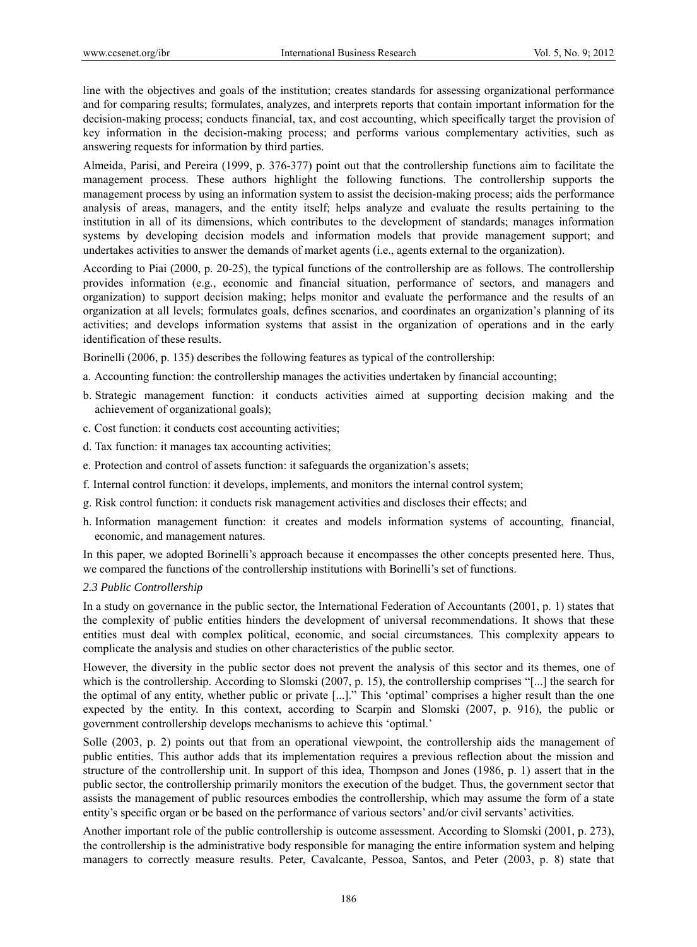line with the objectives and goals of the institution; creates standards for assessing organizational performance and for comparing results; formulates, analyzes, and interprets reports that contain important information for the decision-making process; conducts financial, tax, and cost accounting, which specifically target the provision of key information in the decision-making process; and performs various complementary activities, such as answering requests for information by third parties.

Almeida, Parisi, and Pereira (1999, p. 376-377) point out that the controllership functions aim to facilitate the management process. These authors highlight the following functions. The controllership supports the management process by using an information system to assist the decision-making process; aids the performance analysis of areas, managers, and the entity itself; helps analyze and evaluate the results pertaining to the institution in all of its dimensions, which contributes to the development of standards; manages information systems by developing decision models and information models that provide management support; and undertakes activities to answer the demands of market agents (i.e., agents external to the organization).

According to Piai (2000, p. 20-25), the typical functions of the controllership are as follows. The controllership provides information (e.g., economic and financial situation, performance of sectors, and managers and organization) to support decision making; helps monitor and evaluate the performance and the results of an organization at all levels; formulates goals, defines scenarios, and coordinates an organization's planning of its activities; and develops information systems that assist in the organization of operations and in the early identification of these results.

Borinelli (2006, p. 135) describes the following features as typical of the controllership:

- a. Accounting function: the controllership manages the activities undertaken by financial accounting;
- b. Strategic management function: it conducts activities aimed at supporting decision making and the achievement of organizational goals);
- c. Cost function: it conducts cost accounting activities;
- d. Tax function: it manages tax accounting activities;
- e. Protection and control of assets function: it safeguards the organization's assets;
- f. Internal control function: it develops, implements, and monitors the internal control system;
- g. Risk control function: it conducts risk management activities and discloses their effects; and
- h. Information management function: it creates and models information systems of accounting, financial, economic, and management natures.

In this paper, we adopted Borinelli's approach because it encompasses the other concepts presented here. Thus, we compared the functions of the controllership institutions with Borinelli's set of functions.

### *2.3 Public Controllership*

In a study on governance in the public sector, the International Federation of Accountants (2001, p. 1) states that the complexity of public entities hinders the development of universal recommendations. It shows that these entities must deal with complex political, economic, and social circumstances. This complexity appears to complicate the analysis and studies on other characteristics of the public sector.

However, the diversity in the public sector does not prevent the analysis of this sector and its themes, one of which is the controllership. According to Slomski (2007, p. 15), the controllership comprises "[...] the search for the optimal of any entity, whether public or private [...]." This 'optimal' comprises a higher result than the one expected by the entity. In this context, according to Scarpin and Slomski (2007, p. 916), the public or government controllership develops mechanisms to achieve this 'optimal.'

Solle (2003, p. 2) points out that from an operational viewpoint, the controllership aids the management of public entities. This author adds that its implementation requires a previous reflection about the mission and structure of the controllership unit. In support of this idea, Thompson and Jones (1986, p. 1) assert that in the public sector, the controllership primarily monitors the execution of the budget. Thus, the government sector that assists the management of public resources embodies the controllership, which may assume the form of a state entity's specific organ or be based on the performance of various sectors' and/or civil servants' activities.

Another important role of the public controllership is outcome assessment. According to Slomski (2001, p. 273), the controllership is the administrative body responsible for managing the entire information system and helping managers to correctly measure results. Peter, Cavalcante, Pessoa, Santos, and Peter (2003, p. 8) state that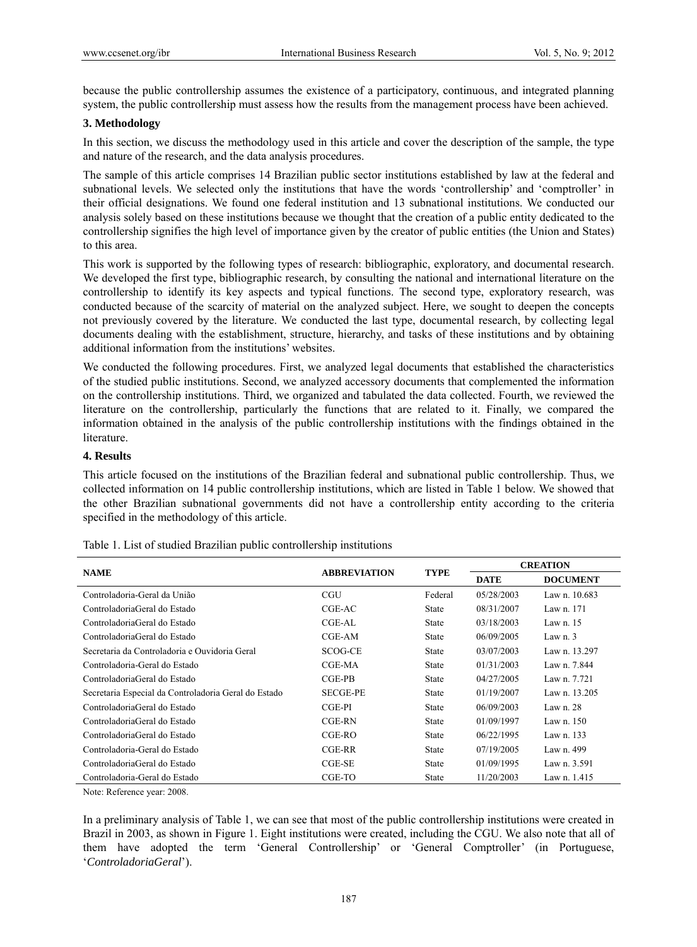because the public controllership assumes the existence of a participatory, continuous, and integrated planning system, the public controllership must assess how the results from the management process have been achieved.

## **3. Methodology**

In this section, we discuss the methodology used in this article and cover the description of the sample, the type and nature of the research, and the data analysis procedures.

The sample of this article comprises 14 Brazilian public sector institutions established by law at the federal and subnational levels. We selected only the institutions that have the words 'controllership' and 'comptroller' in their official designations. We found one federal institution and 13 subnational institutions. We conducted our analysis solely based on these institutions because we thought that the creation of a public entity dedicated to the controllership signifies the high level of importance given by the creator of public entities (the Union and States) to this area.

This work is supported by the following types of research: bibliographic, exploratory, and documental research. We developed the first type, bibliographic research, by consulting the national and international literature on the controllership to identify its key aspects and typical functions. The second type, exploratory research, was conducted because of the scarcity of material on the analyzed subject. Here, we sought to deepen the concepts not previously covered by the literature. We conducted the last type, documental research, by collecting legal documents dealing with the establishment, structure, hierarchy, and tasks of these institutions and by obtaining additional information from the institutions' websites.

We conducted the following procedures. First, we analyzed legal documents that established the characteristics of the studied public institutions. Second, we analyzed accessory documents that complemented the information on the controllership institutions. Third, we organized and tabulated the data collected. Fourth, we reviewed the literature on the controllership, particularly the functions that are related to it. Finally, we compared the information obtained in the analysis of the public controllership institutions with the findings obtained in the literature.

### **4. Results**

This article focused on the institutions of the Brazilian federal and subnational public controllership. Thus, we collected information on 14 public controllership institutions, which are listed in Table 1 below. We showed that the other Brazilian subnational governments did not have a controllership entity according to the criteria specified in the methodology of this article.

| <b>NAME</b>                                          | <b>ABBREVIATION</b> | <b>TYPE</b>  | <b>CREATION</b> |                 |  |  |  |
|------------------------------------------------------|---------------------|--------------|-----------------|-----------------|--|--|--|
|                                                      |                     |              | <b>DATE</b>     | <b>DOCUMENT</b> |  |  |  |
| Controladoria-Geral da União                         | <b>CGU</b>          | Federal      | 05/28/2003      | Law n. 10.683   |  |  |  |
| ControladoriaGeral do Estado                         | CGE-AC              | <b>State</b> | 08/31/2007      | Law n. 171      |  |  |  |
| ControladoriaGeral do Estado                         | CGE-AL              | <b>State</b> | 03/18/2003      | Law n. $15$     |  |  |  |
| ControladoriaGeral do Estado                         | CGE-AM              | <b>State</b> | 06/09/2005      | Law $n1$ . 3    |  |  |  |
| Secretaria da Controladoria e Ouvidoria Geral        | SCOG-CE             | <b>State</b> | 03/07/2003      | Law n. 13.297   |  |  |  |
| Controladoria-Geral do Estado                        | CGE-MA              | <b>State</b> | 01/31/2003      | Law n. 7.844    |  |  |  |
| ControladoriaGeral do Estado                         | CGE-PB              | <b>State</b> | 04/27/2005      | Law n. 7.721    |  |  |  |
| Secretaria Especial da Controladoria Geral do Estado | <b>SECGE-PE</b>     | <b>State</b> | 01/19/2007      | Law n. $13.205$ |  |  |  |
| ControladoriaGeral do Estado                         | $CGE-PI$            | <b>State</b> | 06/09/2003      | Law $n.28$      |  |  |  |
| ControladoriaGeral do Estado                         | CGE-RN              | <b>State</b> | 01/09/1997      | Law n. 150      |  |  |  |
| ControladoriaGeral do Estado                         | $CGE-RO$            | <b>State</b> | 06/22/1995      | Law n. 133      |  |  |  |
| Controladoria-Geral do Estado                        | CGE-RR              | <b>State</b> | 07/19/2005      | Law n. 499      |  |  |  |
| ControladoriaGeral do Estado                         | $CGE-SE$            | <b>State</b> | 01/09/1995      | Law n. 3.591    |  |  |  |
| Controladoria-Geral do Estado                        | CGE-TO              | State        | 11/20/2003      | Law n. 1.415    |  |  |  |

Table 1. List of studied Brazilian public controllership institutions

Note: Reference year: 2008.

In a preliminary analysis of Table 1, we can see that most of the public controllership institutions were created in Brazil in 2003, as shown in Figure 1. Eight institutions were created, including the CGU. We also note that all of them have adopted the term 'General Controllership' or 'General Comptroller' (in Portuguese, '*ControladoriaGeral*').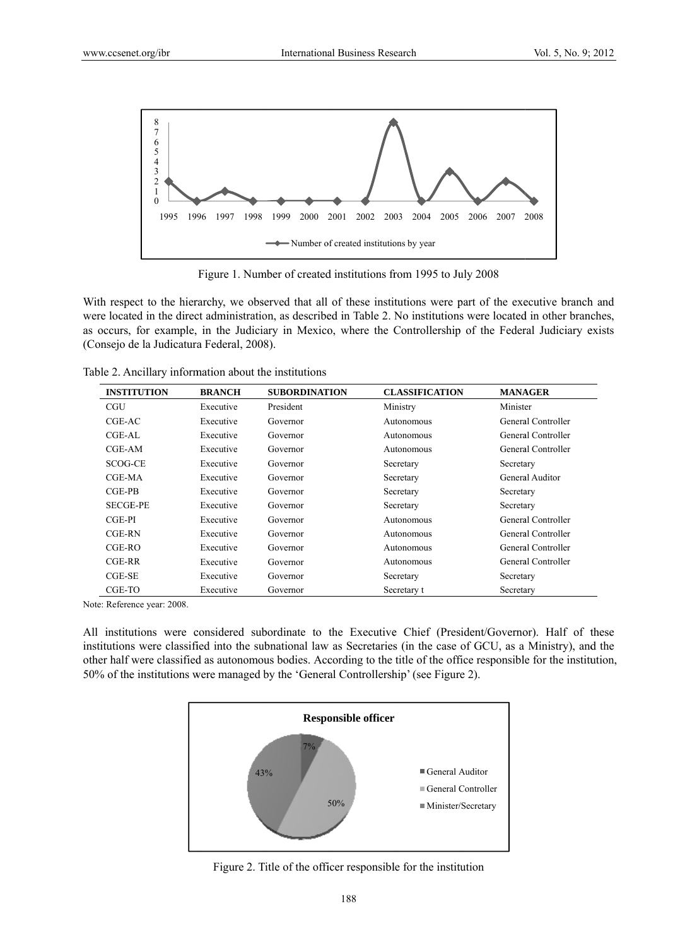

Figure 1. Number of created institutions from 1995 to July 2008

With respect to the hierarchy, we observed that all of these institutions were part of the executive branch and were located in the direct administration, as described in Table 2. No institutions were located in other branches, as occurs, for example, in the Judiciary in Mexico, where the Controllership of the Federal Judiciary exists (Consejo de la Judicatura Federal, 2008).

Table 2. Ancillary information about the institutions

| <b>INSTITUTION</b> | <b>BRANCH</b> | <b>SUBORDINATION</b> | <b>CLASSIFICATION</b> | <b>MANAGER</b>     |
|--------------------|---------------|----------------------|-----------------------|--------------------|
| CGU                | Executive     | President            | Ministry              | Minister           |
| CGE-AC             | Executive     | Governor             | Autonomous            | General Controller |
| $CGE-AL$           | Executive     | Governor             | Autonomous            | General Controller |
| CGE-AM             | Executive     | Governor             | Autonomous            | General Controller |
| SCOG-CE            | Executive     | Governor             | Secretary             | Secretary          |
| CGE-MA             | Executive     | Governor             | Secretary             | General Auditor    |
| $CGE-PB$           | Executive     | Governor             | Secretary             | Secretary          |
| <b>SECGE-PE</b>    | Executive     | Governor             | Secretary             | Secretary          |
| $CGE-PI$           | Executive     | Governor             | Autonomous            | General Controller |
| CGE-RN             | Executive     | Governor             | Autonomous            | General Controller |
| $CGE-RO$           | Executive     | Governor             | Autonomous            | General Controller |
| CGE-RR             | Executive     | Governor             | Autonomous            | General Controller |
| $CGE-SE$           | Executive     | Governor             | Secretary             | Secretary          |
| CGE-TO             | Executive     | Governor             | Secretary t           | Secretary          |

Note: Reference year: 2008.

All institutions were considered subordinate to the Executive Chief (President/Governor). Half of these institutions were classified into the subnational law as Secretaries (in the case of GCU, as a Ministry), and the other half were classified as autonomous bodies. According to the title of the office responsible for the institution, 50% of the institutions were managed by the 'General Controllership' (see Figure 2).



Figure 2. Title of the officer responsible for the institution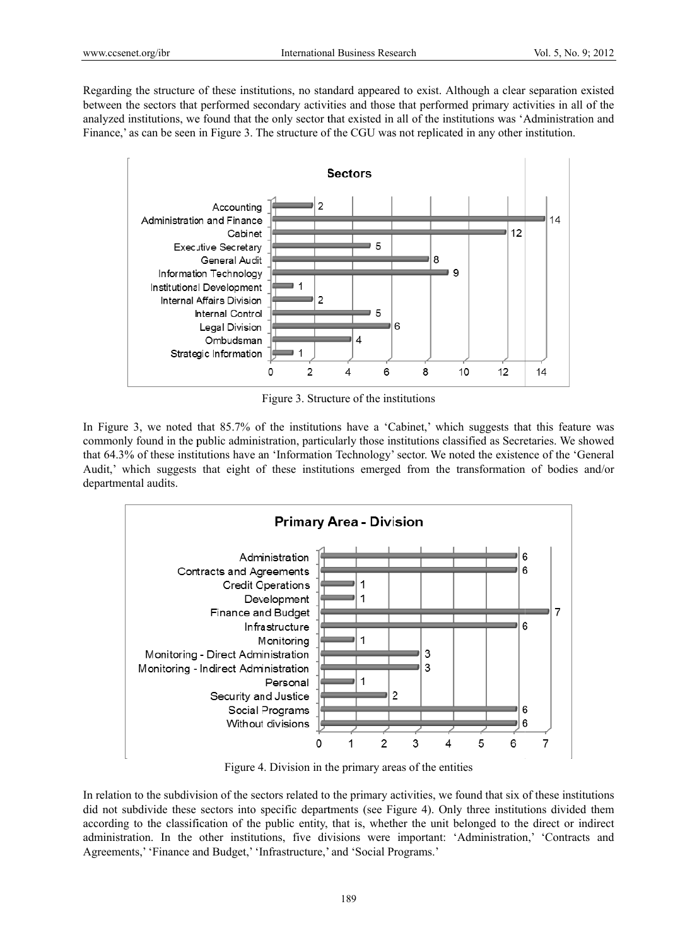Regarding the structure of these institutions, no standard appeared to exist. Although a clear separation existed between the sectors that performed secondary activities and those that performed primary activities in all of the analyzed institutions, we found that the only sector that existed in all of the institutions was 'Administration and Finance,' as can be seen in Figure 3. The structure of the CGU was not replicated in any other institution.



Figure 3. Structure of the institutions

In Figure 3, we noted that 85.7% of the institutions have a 'Cabinet,' which suggests that this feature was commonly found in the public administration, particularly those institutions classified as Secretaries. We showed that 64.3% of these institutions have an 'Information Technology' sector. We noted the existence of the 'General Audit,' which suggests that eight of these institutions emerged from the transformation of bodies and/or departmental audits.



Figure 4. Division in the primary areas of the entities

In relation to the subdivision of the sectors related to the primary activities, we found that six of these institutions did not subdivide these sectors into specific departments (see Figure 4). Only three institutions divided them according to the classification of the public entity, that is, whether the unit belonged to the direct or indirect administration. In the other institutions, five divisions were important: 'Administration,' 'Contracts and Agreements,' 'Finance and Budget,' 'Infrastructure,' and 'Social Programs.'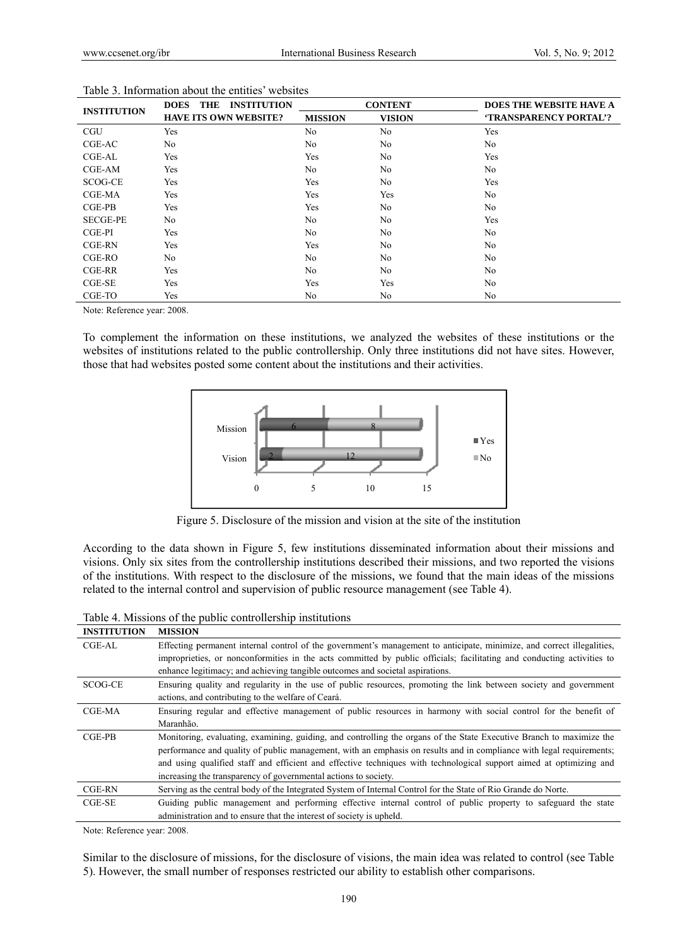| <b>INSTITUTION</b> | THE<br><b>INSTITUTION</b><br><b>DOES</b> |                | <b>CONTENT</b> | <b>DOES THE WEBSITE HAVE A</b> |
|--------------------|------------------------------------------|----------------|----------------|--------------------------------|
|                    | <b>HAVE ITS OWN WEBSITE?</b>             | <b>MISSION</b> | <b>VISION</b>  | <b>'TRANSPARENCY PORTAL'?</b>  |
| CGU                | Yes                                      | N <sub>0</sub> | N <sub>o</sub> | Yes                            |
| CGE-AC             | N <sub>0</sub>                           | N <sub>0</sub> | N <sub>0</sub> | N <sub>0</sub>                 |
| $CGE-AL$           | Yes                                      | Yes            | N <sub>0</sub> | Yes                            |
| $CGE-AM$           | Yes                                      | N <sub>0</sub> | N <sub>0</sub> | N <sub>0</sub>                 |
| SCOG-CE            | Yes                                      | Yes            | N <sub>0</sub> | Yes                            |
| CGE-MA             | Yes                                      | Yes            | Yes            | No                             |
| $CGE-PB$           | Yes                                      | Yes            | N <sub>0</sub> | N <sub>0</sub>                 |
| <b>SECGE-PE</b>    | No                                       | No             | No             | Yes                            |
| CGE-PI             | Yes                                      | N <sub>0</sub> | No             | No                             |
| $CGE-RN$           | Yes                                      | Yes            | N <sub>0</sub> | N <sub>0</sub>                 |
| CGE-RO             | No                                       | No             | No             | No                             |
| $CGE-RR$           | Yes                                      | N <sub>0</sub> | N <sub>0</sub> | N <sub>0</sub>                 |
| $CGE-SE$           | Yes                                      | Yes            | Yes            | N <sub>0</sub>                 |
| CGE-TO             | Yes                                      | No             | No             | No                             |

#### Table 3. Information about the entities' websites

Note: Reference year: 2008.

To complement the information on these institutions, we analyzed the websites of these institutions or the websites of institutions related to the public controllership. Only three institutions did not have sites. However, those that had websites posted some content about the institutions and their activities.



Figure 5. Disclosure of the mission and vision at the site of the institution

According to the data shown in Figure 5, few institutions disseminated information about their missions and visions. Only six sites from the controllership institutions described their missions, and two reported the visions of the institutions. With respect to the disclosure of the missions, we found that the main ideas of the missions related to the internal control and supervision of public resource management (see Table 4).

Table 4. Missions of the public controllership institutions

| <b>INSTITUTION</b> | <b>MISSION</b>                                                                                                                                                                                                                                                                                                                                                                                                                         |
|--------------------|----------------------------------------------------------------------------------------------------------------------------------------------------------------------------------------------------------------------------------------------------------------------------------------------------------------------------------------------------------------------------------------------------------------------------------------|
| $CGE-AL$           | Effecting permanent internal control of the government's management to anticipate, minimize, and correct illegalities,<br>improprieties, or nonconformities in the acts committed by public officials; facilitating and conducting activities to<br>enhance legitimacy; and achieving tangible outcomes and societal aspirations.                                                                                                      |
| SCOG-CE            | Ensuring quality and regularity in the use of public resources, promoting the link between society and government<br>actions, and contributing to the welfare of Ceará.                                                                                                                                                                                                                                                                |
| CGE-MA             | Ensuring regular and effective management of public resources in harmony with social control for the benefit of<br>Maranhão.                                                                                                                                                                                                                                                                                                           |
| $CGE-PB$           | Monitoring, evaluating, examining, guiding, and controlling the organs of the State Executive Branch to maximize the<br>performance and quality of public management, with an emphasis on results and in compliance with legal requirements;<br>and using qualified staff and efficient and effective techniques with technological support aimed at optimizing and<br>increasing the transparency of governmental actions to society. |
| CGE-RN             | Serving as the central body of the Integrated System of Internal Control for the State of Rio Grande do Norte.                                                                                                                                                                                                                                                                                                                         |
| $CGE-SE$           | Guiding public management and performing effective internal control of public property to safeguard the state<br>administration and to ensure that the interest of society is upheld.                                                                                                                                                                                                                                                  |

Note: Reference year: 2008.

Similar to the disclosure of missions, for the disclosure of visions, the main idea was related to control (see Table 5). However, the small number of responses restricted our ability to establish other comparisons.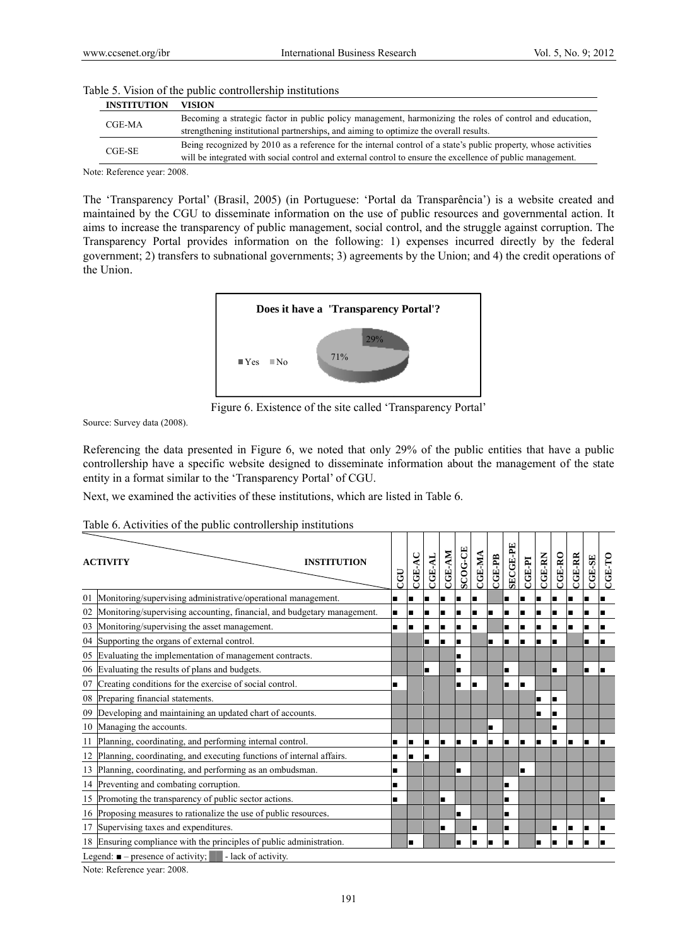| <b>INSTITUTION</b> | VISION                                                                                                          |
|--------------------|-----------------------------------------------------------------------------------------------------------------|
| CGE-MA             | Becoming a strategic factor in public policy management, harmonizing the roles of control and education,        |
|                    | strengthening institutional partnerships, and aiming to optimize the overall results.                           |
| CGE-SE             | Being recognized by 2010 as a reference for the internal control of a state's public property, whose activities |
|                    | will be integrated with social control and external control to ensure the excellence of public management.      |

#### Table 5. Vision of the public controllership institutions

Note: Reference year: 2008.

The 'Transparency Portal' (Brasil, 2005) (in Portuguese: 'Portal da Transparência') is a website created and maintained by the CGU to disseminate information on the use of public resources and governmental action. It aims to increase the transparency of public management, social control, and the struggle against corruption. The Transparency Portal provides information on the following: 1) expenses incurred directly by the federal government; 2) transfers to subnational governments; 3) agreements by the Union; and 4) the credit operations of the Union



Figure 6. Existence of the site called 'Transparency Portal'

Source: Survey data (2008).

Referencing the data presented in Figure 6, we noted that only 29% of the public entities that have a public controllership have a specific website designed to disseminate information about the management of the state entity in a format similar to the 'Transparency Portal' of CGU.

Next, we examined the activities of these institutions, which are listed in Table 6.

| Table 6. Activities of the public controllership institutions |  |  |  |  |  |  |  |
|---------------------------------------------------------------|--|--|--|--|--|--|--|
|---------------------------------------------------------------|--|--|--|--|--|--|--|

|    | <b>INSTITUTION</b><br><b>ACTIVITY</b>                                   | CGU | <b>CGE-A</b> | CGE-AL | CGE-AM | SCOG-CE | CGE-MA | $CGE-PB$ | SECGE-PE | <b>CGE-PI</b>  | <b>CGE-RN</b> | $CGE-RO$ | <b>CGE-RR</b> | $CGE-SE$ | $CGE-TO$ |
|----|-------------------------------------------------------------------------|-----|--------------|--------|--------|---------|--------|----------|----------|----------------|---------------|----------|---------------|----------|----------|
| 01 | Monitoring/supervising administrative/operational management.           |     |              |        |        |         |        |          |          |                |               |          |               |          |          |
| 02 | Monitoring/supervising accounting, financial, and budgetary management. | ٠   |              |        | ■      |         | ш      |          | п        |                | п             | п        |               |          |          |
| 03 | Monitoring/supervising the asset management.                            | ٠   |              |        |        |         | œ      |          | ■        |                | п             |          |               |          |          |
| 04 | Supporting the organs of external control.                              |     |              | п      | п      |         |        | п        | Н        |                | ı             |          |               |          |          |
| 05 | Evaluating the implementation of management contracts.                  |     |              |        |        |         |        |          |          |                |               |          |               |          |          |
| 06 | Evaluating the results of plans and budgets.                            |     |              | п      |        |         |        |          | ■        |                |               | г        |               |          |          |
| 07 | Creating conditions for the exercise of social control.                 |     |              |        |        |         | ш      |          | ■        |                |               |          |               |          |          |
| 08 | Preparing financial statements.                                         |     |              |        |        |         |        |          |          |                | ■             | П        |               |          |          |
| 09 | Developing and maintaining an updated chart of accounts.                |     |              |        |        |         |        |          |          |                | ■             |          |               |          |          |
| 10 | Managing the accounts.                                                  |     |              |        |        |         |        |          |          |                |               |          |               |          |          |
| 11 | Planning, coordinating, and performing internal control.                |     |              | ш      |        | n       | I.     | œ        | П        | $\blacksquare$ | ıп            | п        | п             |          |          |
| 12 | Planning, coordinating, and executing functions of internal affairs.    |     |              |        |        |         |        |          |          |                |               |          |               |          |          |
| 13 | Planning, coordinating, and performing as an ombudsman.                 |     |              |        |        |         |        |          |          | П              |               |          |               |          |          |
|    | 14 Preventing and combating corruption.                                 | ∎   |              |        |        |         |        |          | ■        |                |               |          |               |          |          |
| 15 | Promoting the transparency of public sector actions.                    |     |              |        | ■      |         |        |          | ■        |                |               |          |               |          |          |
|    | 16 Proposing measures to rationalize the use of public resources.       |     |              |        |        |         |        |          | ■        |                |               |          |               |          |          |
| 17 | Supervising taxes and expenditures.                                     |     |              |        |        |         |        |          |          |                |               |          |               |          |          |
|    | 18 Ensuring compliance with the principles of public administration.    |     |              |        |        |         | ш      |          | œ        |                | п             |          |               |          |          |
|    | Legend: $\blacksquare$ – presence of activity;<br>- lack of activity.   |     |              |        |        |         |        |          |          |                |               |          |               |          |          |
|    | 0.000<br>$\mathbf{v}$ and $\mathbf{v}$                                  |     |              |        |        |         |        |          |          |                |               |          |               |          |          |

Note: Reference year: 2008.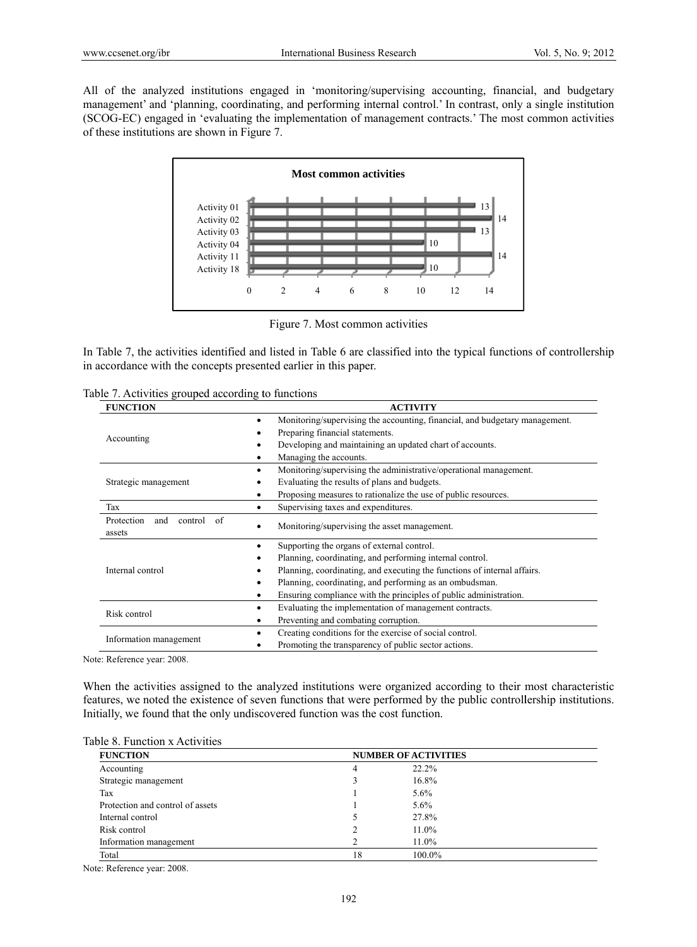All of the analyzed institutions engaged in 'monitoring/supervising accounting, financial, and budgetary management' and 'planning, coordinating, and performing internal control.' In contrast, only a single institution (SCOG-EC) engaged in 'evaluating the implementation of management contracts.' The most common activities of these institutions are shown in Figure 7.



Figure 7. Most common activities

In Table 7, the activities identified and listed in Table 6 are classified into the typical functions of controllership in accordance with the concepts presented earlier in this paper.

|  |  | Table 7. Activities grouped according to functions |  |  |  |  |
|--|--|----------------------------------------------------|--|--|--|--|
|--|--|----------------------------------------------------|--|--|--|--|

| <b>FUNCTION</b>                 | <b>ACTIVITY</b>                                                                  |  |  |  |  |  |
|---------------------------------|----------------------------------------------------------------------------------|--|--|--|--|--|
|                                 | Monitoring/supervising the accounting, financial, and budgetary management.<br>٠ |  |  |  |  |  |
| Accounting                      | Preparing financial statements.                                                  |  |  |  |  |  |
|                                 | Developing and maintaining an updated chart of accounts.                         |  |  |  |  |  |
|                                 | Managing the accounts.                                                           |  |  |  |  |  |
|                                 | Monitoring/supervising the administrative/operational management.<br>٠           |  |  |  |  |  |
| Strategic management            | Evaluating the results of plans and budgets.                                     |  |  |  |  |  |
|                                 | Proposing measures to rationalize the use of public resources.<br>٠              |  |  |  |  |  |
| Tax                             | Supervising taxes and expenditures.                                              |  |  |  |  |  |
| Protection<br>and<br>control of | Monitoring/supervising the asset management.                                     |  |  |  |  |  |
| assets                          |                                                                                  |  |  |  |  |  |
|                                 | Supporting the organs of external control.<br>٠                                  |  |  |  |  |  |
|                                 | Planning, coordinating, and performing internal control.                         |  |  |  |  |  |
| Internal control                | Planning, coordinating, and executing the functions of internal affairs.         |  |  |  |  |  |
|                                 | Planning, coordinating, and performing as an ombudsman.<br>٠                     |  |  |  |  |  |
|                                 | Ensuring compliance with the principles of public administration.<br>٠           |  |  |  |  |  |
| Risk control                    | Evaluating the implementation of management contracts.<br>٠                      |  |  |  |  |  |
|                                 | Preventing and combating corruption.<br>٠                                        |  |  |  |  |  |
| Information management          | Creating conditions for the exercise of social control.                          |  |  |  |  |  |
|                                 | Promoting the transparency of public sector actions.                             |  |  |  |  |  |

Note: Reference year: 2008.

When the activities assigned to the analyzed institutions were organized according to their most characteristic features, we noted the existence of seven functions that were performed by the public controllership institutions. Initially, we found that the only undiscovered function was the cost function.

#### Table 8. Function x Activities

| <b>FUNCTION</b>                  |    | <b>NUMBER OF ACTIVITIES</b> |  |
|----------------------------------|----|-----------------------------|--|
| Accounting                       | 4  | 22.2%                       |  |
| Strategic management             |    | 16.8%                       |  |
| Tax                              |    | $5.6\%$                     |  |
| Protection and control of assets |    | 5.6%                        |  |
| Internal control                 |    | 27.8%                       |  |
| Risk control                     |    | $11.0\%$                    |  |
| Information management           |    | $11.0\%$                    |  |
| Total                            | 18 | 100.0%                      |  |

Note: Reference year: 2008.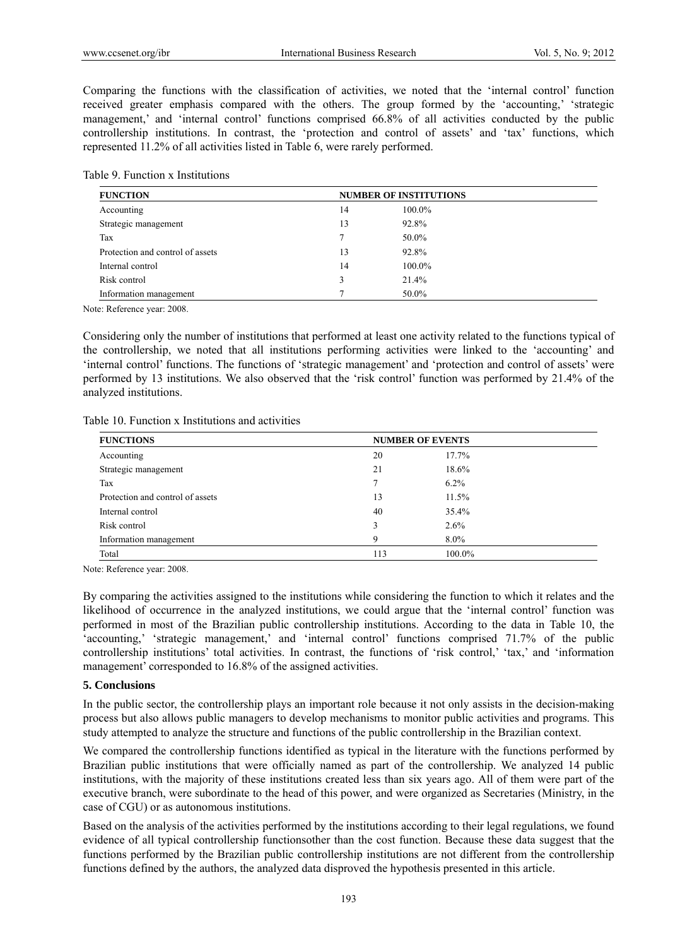Comparing the functions with the classification of activities, we noted that the 'internal control' function received greater emphasis compared with the others. The group formed by the 'accounting,' 'strategic management,' and 'internal control' functions comprised 66.8% of all activities conducted by the public controllership institutions. In contrast, the 'protection and control of assets' and 'tax' functions, which represented 11.2% of all activities listed in Table 6, were rarely performed.

|  |  | Table 9. Function x Institutions |
|--|--|----------------------------------|
|--|--|----------------------------------|

| <b>FUNCTION</b>                  | <b>NUMBER OF INSTITUTIONS</b> |        |  |
|----------------------------------|-------------------------------|--------|--|
| Accounting                       | 14                            | 100.0% |  |
| Strategic management             | 13                            | 92.8%  |  |
| Tax                              | $\mathcal{I}$                 | 50.0%  |  |
| Protection and control of assets | 13                            | 92.8%  |  |
| Internal control                 | 14                            | 100.0% |  |
| Risk control                     | 3                             | 21.4%  |  |
| Information management           |                               | 50.0%  |  |

Note: Reference year: 2008.

Considering only the number of institutions that performed at least one activity related to the functions typical of the controllership, we noted that all institutions performing activities were linked to the 'accounting' and 'internal control' functions. The functions of 'strategic management' and 'protection and control of assets' were performed by 13 institutions. We also observed that the 'risk control' function was performed by 21.4% of the analyzed institutions.

Table 10. Function x Institutions and activities

| <b>FUNCTIONS</b>                 | <b>NUMBER OF EVENTS</b> |         |  |
|----------------------------------|-------------------------|---------|--|
| Accounting                       | 20                      | 17.7%   |  |
| Strategic management             | 21                      | 18.6%   |  |
| Tax                              |                         | $6.2\%$ |  |
| Protection and control of assets | 13                      | 11.5%   |  |
| Internal control                 | 40                      | 35.4%   |  |
| Risk control                     | 3                       | $2.6\%$ |  |
| Information management           | Q                       | $8.0\%$ |  |
| Total                            | 113                     | 100.0%  |  |

Note: Reference year: 2008.

By comparing the activities assigned to the institutions while considering the function to which it relates and the likelihood of occurrence in the analyzed institutions, we could argue that the 'internal control' function was performed in most of the Brazilian public controllership institutions. According to the data in Table 10, the 'accounting,' 'strategic management,' and 'internal control' functions comprised 71.7% of the public controllership institutions' total activities. In contrast, the functions of 'risk control,' 'tax,' and 'information management' corresponded to 16.8% of the assigned activities.

#### **5. Conclusions**

In the public sector, the controllership plays an important role because it not only assists in the decision-making process but also allows public managers to develop mechanisms to monitor public activities and programs. This study attempted to analyze the structure and functions of the public controllership in the Brazilian context.

We compared the controllership functions identified as typical in the literature with the functions performed by Brazilian public institutions that were officially named as part of the controllership. We analyzed 14 public institutions, with the majority of these institutions created less than six years ago. All of them were part of the executive branch, were subordinate to the head of this power, and were organized as Secretaries (Ministry, in the case of CGU) or as autonomous institutions.

Based on the analysis of the activities performed by the institutions according to their legal regulations, we found evidence of all typical controllership functionsother than the cost function. Because these data suggest that the functions performed by the Brazilian public controllership institutions are not different from the controllership functions defined by the authors, the analyzed data disproved the hypothesis presented in this article.